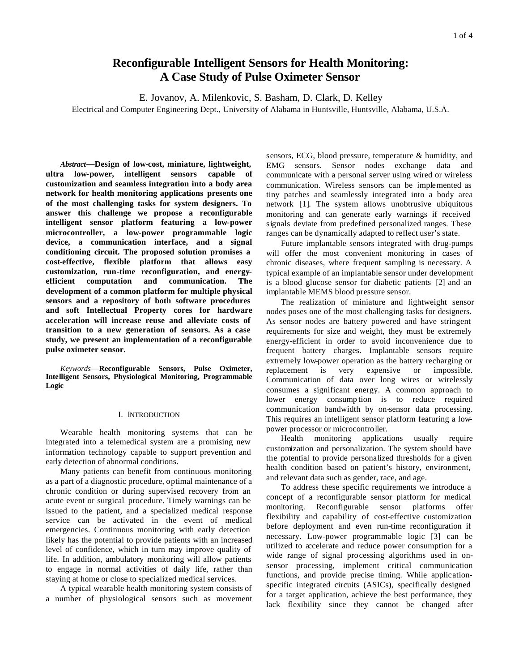# **Reconfigurable Intelligent Sensors for Health Monitoring: A Case Study of Pulse Oximeter Sensor**

E. Jovanov, A. Milenkovic, S. Basham, D. Clark, D. Kelley

Electrical and Computer Engineering Dept., University of Alabama in Huntsville, Huntsville, Alabama, U.S.A.

*Abstract***—Design of low-cost, miniature, lightweight, ultra low-power, intelligent sensors capable of customization and seamless integration into a body area network for health monitoring applications presents one of the most challenging tasks for system designers. To answer this challenge we propose a reconfigurable intelligent sensor platform featuring a low-power microcontroller, a low-power programmable logic device, a communication interface, and a signal conditioning circuit. The proposed solution promises a cost-effective, flexible platform that allows easy customization, run-time reconfiguration, and energyefficient computation and communication. The development of a common platform for multiple physical sensors and a repository of both software procedures and soft Intellectual Property cores for hardware acceleration will increase reuse and alleviate costs of transition to a new generation of sensors. As a case study, we present an implementation of a reconfigurable pulse oximeter sensor.**

*Keywords*—**Reconfigurable Sensors, Pulse Oximeter, Intelligent Sensors, Physiological Monitoring, Programmable Logic** 

## I. INTRODUCTION

Wearable health monitoring systems that can be integrated into a telemedical system are a promising new information technology capable to support prevention and early detection of abnormal conditions.

Many patients can benefit from continuous monitoring as a part of a diagnostic procedure, optimal maintenance of a chronic condition or during supervised recovery from an acute event or surgical procedure. Timely warnings can be issued to the patient, and a specialized medical response service can be activated in the event of medical emergencies. Continuous monitoring with early detection likely has the potential to provide patients with an increased level of confidence, which in turn may improve quality of life. In addition, ambulatory monitoring will allow patients to engage in normal activities of daily life, rather than staying at home or close to specialized medical services.

A typical wearable health monitoring system consists of a number of physiological sensors such as movement sensors, ECG, blood pressure, temperature & humidity, and EMG sensors. Sensor nodes exchange data and communicate with a personal server using wired or wireless communication. Wireless sensors can be implemented as tiny patches and seamlessly integrated into a body area network [1]. The system allows unobtrusive ubiquitous monitoring and can generate early warnings if received signals deviate from predefined personalized ranges. These ranges can be dynamically adapted to reflect user's state.

Future implantable sensors integrated with drug-pumps will offer the most convenient monitoring in cases of chronic diseases, where frequent sampling is necessary. A typical example of an implantable sensor under development is a blood glucose sensor for diabetic patients [2] and an implantable MEMS blood pressure sensor.

The realization of miniature and lightweight sensor nodes poses one of the most challenging tasks for designers. As sensor nodes are battery powered and have stringent requirements for size and weight, they must be extremely energy-efficient in order to avoid inconvenience due to frequent battery charges. Implantable sensors require extremely low-power operation as the battery recharging or replacement is very expensive or impossible. Communication of data over long wires or wirelessly consumes a significant energy. A common approach to lower energy consump tion is to reduce required communication bandwidth by on-sensor data processing. This requires an intelligent sensor platform featuring a lowpower processor or microcontroller.

Health monitoring applications usually require customization and personalization. The system should have the potential to provide personalized thresholds for a given health condition based on patient's history, environment, and relevant data such as gender, race, and age.

To address these specific requirements we introduce a concept of a reconfigurable sensor platform for medical monitoring. Reconfigurable sensor platforms offer flexibility and capability of cost-effective customization before deployment and even run-time reconfiguration if necessary. Low-power programmable logic [3] can be utilized to accelerate and reduce power consumption for a wide range of signal processing algorithms used in onsensor processing, implement critical communication functions, and provide precise timing. While applicationspecific integrated circuits (ASICs), specifically designed for a target application, achieve the best performance, they lack flexibility since they cannot be changed after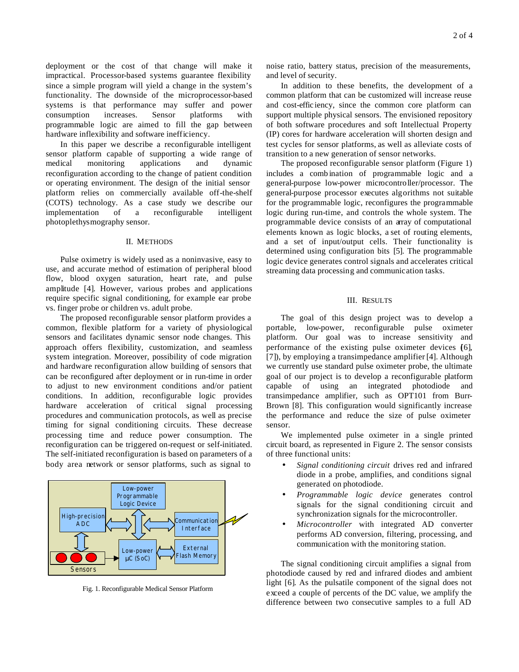deployment or the cost of that change will make it impractical. Processor-based systems guarantee flexibility since a simple program will yield a change in the system's functionality. The downside of the microprocessor-based systems is that performance may suffer and power consumption increases. Sensor platforms with programmable logic are aimed to fill the gap between hardware inflexibility and software inefficiency.

In this paper we describe a reconfigurable intelligent sensor platform capable of supporting a wide range of medical monitoring applications and dynamic reconfiguration according to the change of patient condition or operating environment. The design of the initial sensor platform relies on commercially available off-the-shelf (COTS) technology. As a case study we describe our implementation of a reconfigurable intelligent photoplethysmography sensor.

#### II. METHODS

Pulse oximetry is widely used as a noninvasive, easy to use, and accurate method of estimation of peripheral blood flow, blood oxygen saturation, heart rate, and pulse amplitude [4]. However, various probes and applications require specific signal conditioning, for example ear probe vs. finger probe or children vs. adult probe.

The proposed reconfigurable sensor platform provides a common, flexible platform for a variety of physiological sensors and facilitates dynamic sensor node changes. This approach offers flexibility, customization, and seamless system integration. Moreover, possibility of code migration and hardware reconfiguration allow building of sensors that can be reconfigured after deployment or in run-time in order to adjust to new environment conditions and/or patient conditions. In addition, reconfigurable logic provides hardware acceleration of critical signal processing procedures and communication protocols, as well as precise timing for signal conditioning circuits. These decrease processing time and reduce power consumption. The reconfiguration can be triggered on-request or self-initiated. The self-initiated reconfiguration is based on parameters of a body area network or sensor platforms, such as signal to



Fig. 1. Reconfigurable Medical Sensor Platform

2 of 4

noise ratio, battery status, precision of the measurements, and level of security.

In addition to these benefits, the development of a common platform that can be customized will increase reuse and cost-effic iency, since the common core platform can support multiple physical sensors. The envisioned repository of both software procedures and soft Intellectual Property (IP) cores for hardware acceleration will shorten design and test cycles for sensor platforms, as well as alleviate costs of transition to a new generation of sensor networks.

The proposed reconfigurable sensor platform (Figure 1) includes a comb ination of programmable logic and a general-purpose low-power microcontroller/processor. The general-purpose processor executes algorithms not suitable for the programmable logic, reconfigures the programmable logic during run-time, and controls the whole system. The programmable device consists of an array of computational elements known as logic blocks, a set of routing elements, and a set of input/output cells. Their functionality is determined using configuration bits [5]. The programmable logic device generates control signals and accelerates critical streaming data processing and communication tasks.

### III. RESULTS

The goal of this design project was to develop a portable, low-power, reconfigurable pulse oximeter platform. Our goal was to increase sensitivity and performance of the existing pulse oximeter devices (6), [7]), by employing a transimpedance amplifier [4]. Although we currently use standard pulse oximeter probe, the ultimate goal of our project is to develop a reconfigurable platform capable of using an integrated photodiode and transimpedance amplifier, such as OPT101 from Burr-Brown [8]. This configuration would significantly increase the performance and reduce the size of pulse oximeter sensor.

We implemented pulse oximeter in a single printed circuit board, as represented in Figure 2. The sensor consists of three functional units:

- *Signal conditioning circuit* drives red and infrared diode in a probe, amplifies, and conditions signal generated on photodiode.
- *Programmable logic device* generates control signals for the signal conditioning circuit and synchronization signals for the microcontroller.
- *Microcontroller* with integrated AD converter performs AD conversion, filtering, processing, and communication with the monitoring station.

The signal conditioning circuit amplifies a signal from photodiode caused by red and infrared diodes and ambient light [6]. As the pulsatile component of the signal does not exceed a couple of percents of the DC value, we amplify the difference between two consecutive samples to a full AD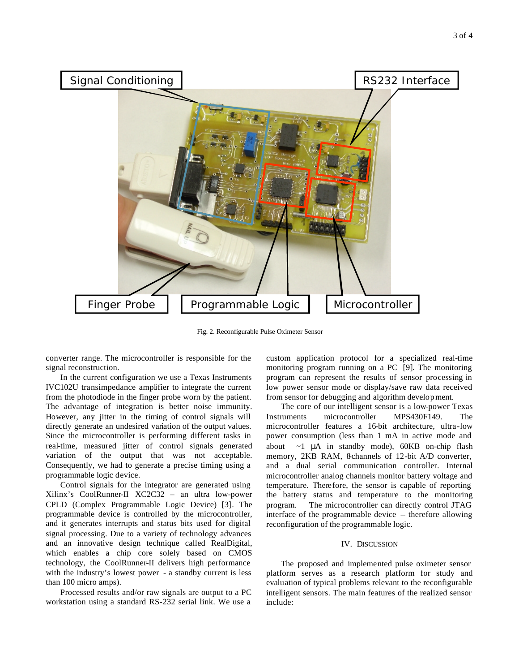

Fig. 2. Reconfigurable Pulse Oximeter Sensor

converter range. The microcontroller is responsible for the signal reconstruction.

In the current configuration we use a Texas Instruments IVC102U transimpedance amplifier to integrate the current from the photodiode in the finger probe worn by the patient. The advantage of integration is better noise immunity. However, any jitter in the timing of control signals will directly generate an undesired variation of the output values. Since the microcontroller is performing different tasks in real-time, measured jitter of control signals generated variation of the output that was not acceptable. Consequently, we had to generate a precise timing using a programmable logic device.

Control signals for the integrator are generated using Xilinx's CoolRunner-II XC2C32 – an ultra low-power CPLD (Complex Programmable Logic Device) [3]. The programmable device is controlled by the microcontroller, and it generates interrupts and status bits used for digital signal processing. Due to a variety of technology advances and an innovative design technique called RealDigital, which enables a chip core solely based on CMOS technology, the CoolRunner-II delivers high performance with the industry's lowest power - a standby current is less than 100 micro amps).

Processed results and/or raw signals are output to a PC workstation using a standard RS-232 serial link. We use a custom application protocol for a specialized real-time monitoring program running on a PC [9]. The monitoring program can represent the results of sensor processing in low power sensor mode or display/save raw data received from sensor for debugging and algorithm development.

The core of our intelligent sensor is a low-power Texas Instruments microcontroller MPS430F149. The microcontroller features a 16-bit architecture, ultra-low power consumption (less than 1 mA in active mode and about ~1 μA in standby mode), 60KB on-chip flash memory, 2KB RAM, 8channels of 12-bit A/D converter, and a dual serial communication controller. Internal microcontroller analog channels monitor battery voltage and temperature. Therefore, the sensor is capable of reporting the battery status and temperature to the monitoring program. The microcontroller can directly control JTAG interface of the programmable device -- therefore allowing reconfiguration of the programmable logic.

#### IV. DISCUSSION

The proposed and implemented pulse oximeter sensor platform serves as a research platform for study and evaluation of typical problems relevant to the reconfigurable intelligent sensors. The main features of the realized sensor include: